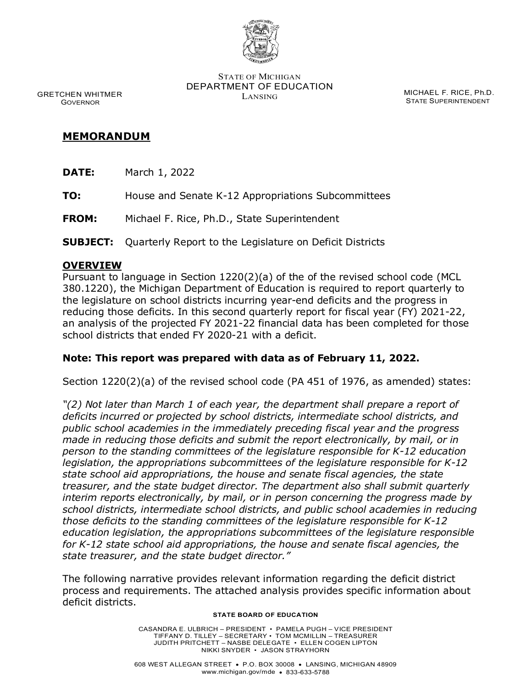

STATE OF MICHIGAN DEPARTMENT OF EDUCATION MICHAEL F. RICE, Ph.D.<br>LANSING 2010 2010 2010 2010

STATE SUPERINTENDENT

 GRETCHEN WHITMER GOVERNOR

# **MEMORANDUM**

- **DATE:** March 1, 2022
- **TO:** House and Senate K-12 Appropriations Subcommittees
- **FROM:** Michael F. Rice, Ph.D., State Superintendent
- **SUBJECT:** Quarterly Report to the Legislature on Deficit Districts

#### **OVERVIEW**

Pursuant to language in Section 1220(2)(a) of the of the revised school code (MCL 380.1220), the Michigan Department of Education is required to report quarterly to the legislature on school districts incurring year-end deficits and the progress in reducing those deficits. In this second quarterly report for fiscal year (FY) 2021-22, an analysis of the projected FY 2021-22 financial data has been completed for those school districts that ended FY 2020-21 with a deficit.

## **Note: This report was prepared with data as of February 11, 2022.**

Section 1220(2)(a) of the revised school code (PA 451 of 1976, as amended) states:

*"(2) Not later than March 1 of each year, the department shall prepare a report of deficits incurred or projected by school districts, intermediate school districts, and public school academies in the immediately preceding fiscal year and the progress made in reducing those deficits and submit the report electronically, by mail, or in person to the standing committees of the legislature responsible for K-12 education legislation, the appropriations subcommittees of the legislature responsible for K-12 state school aid appropriations, the house and senate fiscal agencies, the state treasurer, and the state budget director. The department also shall submit quarterly interim reports electronically, by mail, or in person concerning the progress made by school districts, intermediate school districts, and public school academies in reducing those deficits to the standing committees of the legislature responsible for K-12 education legislation, the appropriations subcommittees of the legislature responsible for K-12 state school aid appropriations, the house and senate fiscal agencies, the state treasurer, and the state budget director."*

The following narrative provides relevant information regarding the deficit district process and requirements. The attached analysis provides specific information about deficit districts.

#### **STATE BOARD OF EDUCATION**

CASANDRA E. ULBRICH – PRESIDENT • PAMELA PUGH – VICE PRESIDENT TIFFANY D. TILLEY – SECRETARY • TOM MCMILLIN – TREASURER JUDITH PRITCHETT – NASBE DELEGATE • ELLEN COGEN LIPTON NIKKI SNYDER • JASON STRAYHORN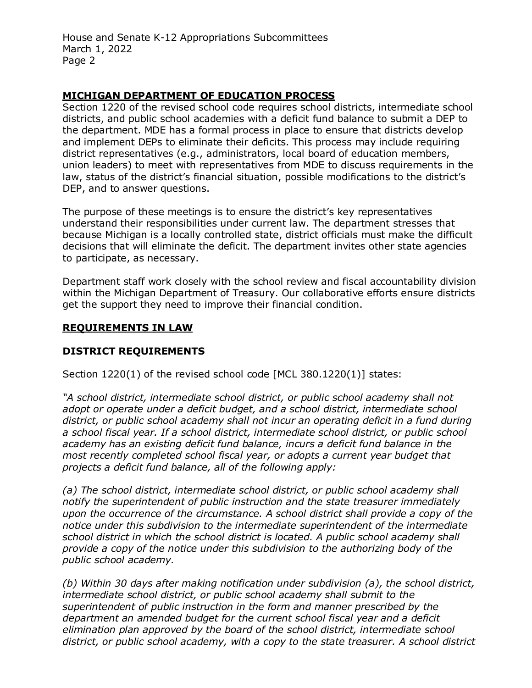House and Senate K-12 Appropriations Subcommittees March 1, 2022 Page 2

## **MICHIGAN DEPARTMENT OF EDUCATION PROCESS**

Section 1220 of the revised school code requires school districts, intermediate school districts, and public school academies with a deficit fund balance to submit a DEP to the department. MDE has a formal process in place to ensure that districts develop and implement DEPs to eliminate their deficits. This process may include requiring district representatives (e.g., administrators, local board of education members, union leaders) to meet with representatives from MDE to discuss requirements in the law, status of the district's financial situation, possible modifications to the district's DEP, and to answer questions.

The purpose of these meetings is to ensure the district's key representatives understand their responsibilities under current law. The department stresses that because Michigan is a locally controlled state, district officials must make the difficult decisions that will eliminate the deficit. The department invites other state agencies to participate, as necessary.

Department staff work closely with the school review and fiscal accountability division within the Michigan Department of Treasury. Our collaborative efforts ensure districts get the support they need to improve their financial condition.

#### **REQUIREMENTS IN LAW**

## **DISTRICT REQUIREMENTS**

Section 1220(1) of the revised school code [MCL 380.1220(1)] states:

*"A school district, intermediate school district, or public school academy shall not adopt or operate under a deficit budget, and a school district, intermediate school district, or public school academy shall not incur an operating deficit in a fund during a school fiscal year. If a school district, intermediate school district, or public school academy has an existing deficit fund balance, incurs a deficit fund balance in the most recently completed school fiscal year, or adopts a current year budget that projects a deficit fund balance, all of the following apply:*

*(a) The school district, intermediate school district, or public school academy shall notify the superintendent of public instruction and the state treasurer immediately upon the occurrence of the circumstance. A school district shall provide a copy of the notice under this subdivision to the intermediate superintendent of the intermediate school district in which the school district is located. A public school academy shall provide a copy of the notice under this subdivision to the authorizing body of the public school academy.*

*(b) Within 30 days after making notification under subdivision (a), the school district, intermediate school district, or public school academy shall submit to the superintendent of public instruction in the form and manner prescribed by the department an amended budget for the current school fiscal year and a deficit elimination plan approved by the board of the school district, intermediate school district, or public school academy, with a copy to the state treasurer. A school district*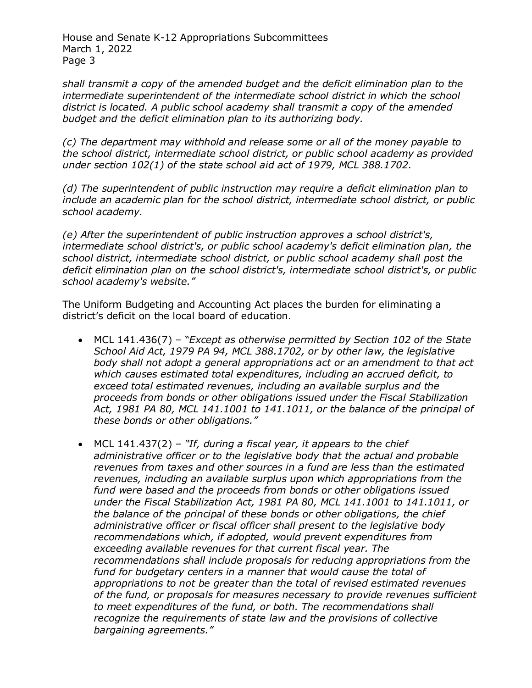House and Senate K-12 Appropriations Subcommittees March 1, 2022 Page 3

*shall transmit a copy of the amended budget and the deficit elimination plan to the intermediate superintendent of the intermediate school district in which the school district is located. A public school academy shall transmit a copy of the amended budget and the deficit elimination plan to its authorizing body.*

*(c) The department may withhold and release some or all of the money payable to the school district, intermediate school district, or public school academy as provided under section 102(1) of the state school aid act of 1979, MCL 388.1702.*

*(d) The superintendent of public instruction may require a deficit elimination plan to include an academic plan for the school district, intermediate school district, or public school academy.*

*(e) After the superintendent of public instruction approves a school district's, intermediate school district's, or public school academy's deficit elimination plan, the school district, intermediate school district, or public school academy shall post the deficit elimination plan on the school district's, intermediate school district's, or public school academy's website."*

The Uniform Budgeting and Accounting Act places the burden for eliminating a district's deficit on the local board of education.

- MCL 141.436(7) "*Except as otherwise permitted by Section 102 of the State School Aid Act, 1979 PA 94, MCL 388.1702, or by other law, the legislative*  body shall not adopt a general appropriations act or an amendment to that act *which causes estimated total expenditures, including an accrued deficit, to exceed total estimated revenues, including an available surplus and the proceeds from bonds or other obligations issued under the Fiscal Stabilization Act, 1981 PA 80, MCL 141.1001 to 141.1011, or the balance of the principal of these bonds or other obligations."*
- MCL 141.437(2) *"If, during a fiscal year, it appears to the chief administrative officer or to the legislative body that the actual and probable revenues from taxes and other sources in a fund are less than the estimated revenues, including an available surplus upon which appropriations from the fund were based and the proceeds from bonds or other obligations issued under the Fiscal Stabilization Act, 1981 PA 80, MCL 141.1001 to 141.1011, or the balance of the principal of these bonds or other obligations, the chief administrative officer or fiscal officer shall present to the legislative body recommendations which, if adopted, would prevent expenditures from exceeding available revenues for that current fiscal year. The recommendations shall include proposals for reducing appropriations from the fund for budgetary centers in a manner that would cause the total of appropriations to not be greater than the total of revised estimated revenues of the fund, or proposals for measures necessary to provide revenues sufficient to meet expenditures of the fund, or both. The recommendations shall recognize the requirements of state law and the provisions of collective bargaining agreements."*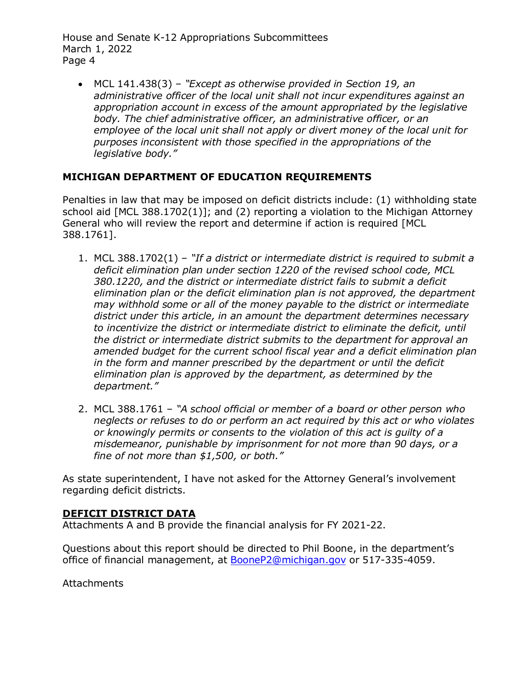House and Senate K-12 Appropriations Subcommittees March 1, 2022 Page 4

• MCL 141.438(3) – *"Except as otherwise provided in Section 19, an administrative officer of the local unit shall not incur expenditures against an appropriation account in excess of the amount appropriated by the legislative body. The chief administrative officer, an administrative officer, or an employee of the local unit shall not apply or divert money of the local unit for purposes inconsistent with those specified in the appropriations of the legislative body."*

# **MICHIGAN DEPARTMENT OF EDUCATION REQUIREMENTS**

Penalties in law that may be imposed on deficit districts include: (1) withholding state school aid [MCL 388.1702(1)]; and (2) reporting a violation to the Michigan Attorney General who will review the report and determine if action is required [MCL 388.1761].

- 1. MCL 388.1702(1) *"If a district or intermediate district is required to submit a deficit elimination plan under section 1220 of the revised school code, MCL 380.1220, and the district or intermediate district fails to submit a deficit elimination plan or the deficit elimination plan is not approved, the department may withhold some or all of the money payable to the district or intermediate district under this article, in an amount the department determines necessary to incentivize the district or intermediate district to eliminate the deficit, until the district or intermediate district submits to the department for approval an amended budget for the current school fiscal year and a deficit elimination plan in the form and manner prescribed by the department or until the deficit elimination plan is approved by the department, as determined by the department."*
- 2. MCL 388.1761 *"A school official or member of a board or other person who neglects or refuses to do or perform an act required by this act or who violates or knowingly permits or consents to the violation of this act is guilty of a misdemeanor, punishable by imprisonment for not more than 90 days, or a fine of not more than \$1,500, or both."*

As state superintendent, I have not asked for the Attorney General's involvement regarding deficit districts.

## **DEFICIT DISTRICT DATA**

Attachments A and B provide the financial analysis for FY 2021-22.

Questions about this report should be directed to Phil Boone, in the department's office of financial management, at [BooneP2@michigan.gov](mailto:BooneP2@michigan.gov) or 517-335-4059.

**Attachments**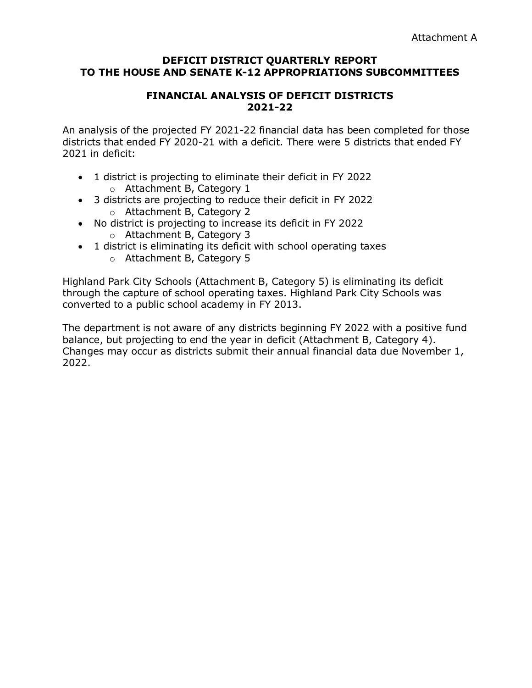#### **DEFICIT DISTRICT QUARTERLY REPORT TO THE HOUSE AND SENATE K-12 APPROPRIATIONS SUBCOMMITTEES**

## **FINANCIAL ANALYSIS OF DEFICIT DISTRICTS 2021-22**

An analysis of the projected FY 2021-22 financial data has been completed for those districts that ended FY 2020-21 with a deficit. There were 5 districts that ended FY 2021 in deficit:

- 1 district is projecting to eliminate their deficit in FY 2022 o Attachment B, Category 1
- 3 districts are projecting to reduce their deficit in FY 2022 o Attachment B, Category 2
- No district is projecting to increase its deficit in FY 2022
	- o Attachment B, Category 3
- 1 district is eliminating its deficit with school operating taxes
	- o Attachment B, Category 5

Highland Park City Schools (Attachment B, Category 5) is eliminating its deficit through the capture of school operating taxes. Highland Park City Schools was converted to a public school academy in FY 2013.

The department is not aware of any districts beginning FY 2022 with a positive fund balance, but projecting to end the year in deficit (Attachment B, Category 4). Changes may occur as districts submit their annual financial data due November 1, 2022.